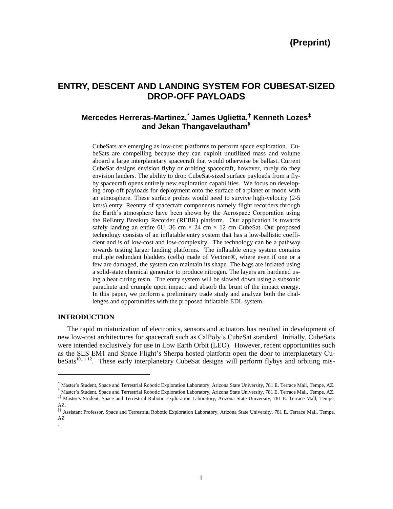# **ENTRY, DESCENT AND LANDING SYSTEM FOR CUBESAT-SIZED DROP-OFF PAYLOADS**

# $M$ ercedes Herreras-Martinez, $\check{\;}$  James Uglietta, $\check{\;}$  Kenneth Lozes $^{\ddagger}$ **and Jekan Thangavelautham***3F* **§**

CubeSats are emerging as low-cost platforms to perform space exploration. CubeSats are compelling because they can exploit unutilized mass and volume aboard a large interplanetary spacecraft that would otherwise be ballast. Current CubeSat designs envision flyby or orbiting spacecraft, however, rarely do they envision landers. The ability to drop CubeSat-sized surface payloads from a flyby spacecraft opens entirely new exploration capabilities. We focus on developing drop-off payloads for deployment onto the surface of a planet or moon with an atmosphere. These surface probes would need to survive high-velocity (2-5 km/s) entry. Reentry of spacecraft components namely flight recorders through the Earth's atmosphere have been shown by the Aerospace Corporation using the ReEntry Breakup Recorder (REBR) platform. Our application is towards safely landing an entire 6U, 36 cm  $\times$  24 cm  $\times$  12 cm CubeSat. Our proposed technology consists of an inflatable entry system that has a low-ballistic coefficient and is of low-cost and low-complexity. The technology can be a pathway towards testing larger landing platforms. The inflatable entry system contains multiple redundant bladders (cells) made of Vectran®, where even if one or a few are damaged, the system can maintain its shape. The bags are inflated using a solid-state chemical generator to produce nitrogen. The layers are hardened using a heat curing resin. The entry system will be slowed down using a subsonic parachute and crumple upon impact and absorb the brunt of the impact energy. In this paper, we perform a preliminary trade study and analyze both the challenges and opportunities with the proposed inflatable EDL system.

# **INTRODUCTION**

l

.

The rapid miniaturization of electronics, sensors and actuators has resulted in development of new low-cost architectures for spacecraft such as CalPoly's CubeSat standard. Initially, CubeSats were intended exclusively for use in Low Earth Orbit (LEO). However, recent opportunities such as the SLS EM1 and Space Flight's Sherpa hosted platform open the door to interplanetary CubeSats<sup>10,11,12</sup>. These early interplanetary CubeSat designs will perform flybys and orbiting mis-

<sup>\*</sup> Master's Student, Space and Terrestrial Robotic Exploration Laboratory, Arizona State University, 781 E. Terrace Mall, Tempe, AZ.

<sup>†</sup> Master's Student, Space and Terrestrial Robotic Exploration Laboratory, Arizona State University, 781 E. Terrace Mall, Tempe, AZ. ‡‡ Master's Student, Space and Terrestrial Robotic Exploration Laboratory, Arizona State University, 781 E. Terrace Mall, Tempe, AZ.

<sup>§§</sup> Assistant Professor, Space and Terrestrial Robotic Exploration Laboratory, Arizona State University, 781 E. Terrace Mall, Tempe, AZ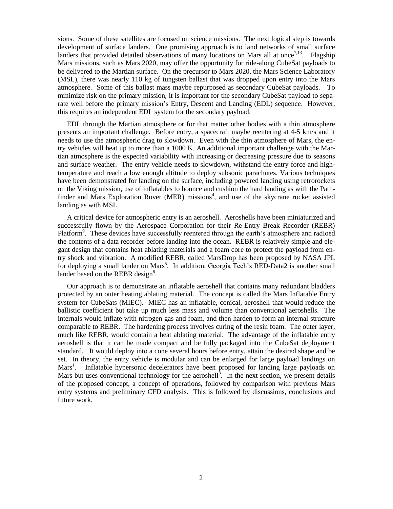sions. Some of these satellites are focused on science missions. The next logical step is towards development of surface landers. One promising approach is to land networks of small surface landers that provided detailed observations of many locations on Mars all at once<sup>7,13</sup>. Flagship Mars missions, such as Mars 2020, may offer the opportunity for ride-along CubeSat payloads to be delivered to the Martian surface. On the precursor to Mars 2020, the Mars Science Laboratory (MSL), there was nearly 110 kg of tungsten ballast that was dropped upon entry into the Mars atmosphere. Some of this ballast mass maybe repurposed as secondary CubeSat payloads. To minimize risk on the primary mission, it is important for the secondary CubeSat payload to separate well before the primary mission's Entry, Descent and Landing (EDL) sequence. However, this requires an independent EDL system for the secondary payload.

EDL through the Martian atmosphere or for that matter other bodies with a thin atmosphere presents an important challenge. Before entry, a spacecraft maybe reentering at 4-5 km/s and it needs to use the atmospheric drag to slowdown. Even with the thin atmosphere of Mars, the entry vehicles will heat up to more than a 1000 K. An additional important challenge with the Martian atmosphere is the expected variability with increasing or decreasing pressure due to seasons and surface weather. The entry vehicle needs to slowdown, withstand the entry force and hightemperature and reach a low enough altitude to deploy subsonic parachutes. Various techniques have been demonstrated for landing on the surface, including powered landing using retrorockets on the Viking mission, use of inflatables to bounce and cushion the hard landing as with the Pathfinder and Mars Exploration Rover (MER) missions<sup>4</sup>, and use of the skycrane rocket assisted landing as with MSL.

A critical device for atmospheric entry is an aeroshell. Aeroshells have been miniaturized and successfully flown by the Aerospace Corporation for their Re-Entry Break Recorder (REBR) Platform<sup>9</sup>. These devices have successfully reentered through the earth's atmosphere and radioed the contents of a data recorder before landing into the ocean. REBR is relatively simple and elegant design that contains heat ablating materials and a foam core to protect the payload from entry shock and vibration. A modified REBR, called MarsDrop has been proposed by NASA JPL for deploying a small lander on Mars<sup>5</sup>. In addition, Georgia Tech's RED-Data2 is another small lander based on the REBR design<sup>8</sup>.

Our approach is to demonstrate an inflatable aeroshell that contains many redundant bladders protected by an outer heating ablating material. The concept is called the Mars Inflatable Entry system for CubeSats (MIEC). MIEC has an inflatable, conical, aeroshell that would reduce the ballistic coefficient but take up much less mass and volume than conventional aeroshells. The internals would inflate with nitrogen gas and foam, and then harden to form an internal structure comparable to REBR. The hardening process involves curing of the resin foam. The outer layer, much like REBR, would contain a heat ablating material. The advantage of the inflatable entry aeroshell is that it can be made compact and be fully packaged into the CubeSat deployment standard. It would deploy into a cone several hours before entry, attain the desired shape and be set. In theory, the entry vehicle is modular and can be enlarged for large payload landings on  $Mars<sup>1</sup>$ . . Inflatable hypersonic decelerators have been proposed for landing large payloads on Mars but uses conventional technology for the aeroshell<sup>3</sup>. In the next section, we present details of the proposed concept, a concept of operations, followed by comparison with previous Mars entry systems and preliminary CFD analysis. This is followed by discussions, conclusions and future work.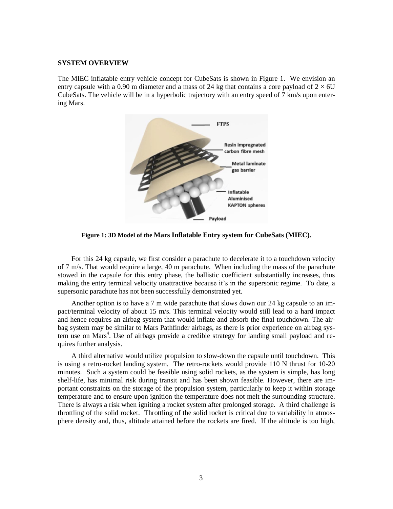#### **SYSTEM OVERVIEW**

The MIEC inflatable entry vehicle concept for CubeSats is shown in Figure 1. We envision an entry capsule with a 0.90 m diameter and a mass of 24 kg that contains a core payload of  $2 \times 6U$ CubeSats. The vehicle will be in a hyperbolic trajectory with an entry speed of 7 km/s upon entering Mars.



**Figure 1: 3D Model of the Mars Inflatable Entry system for CubeSats (MIEC).**

For this 24 kg capsule, we first consider a parachute to decelerate it to a touchdown velocity of 7 m/s. That would require a large, 40 m parachute. When including the mass of the parachute stowed in the capsule for this entry phase, the ballistic coefficient substantially increases, thus making the entry terminal velocity unattractive because it's in the supersonic regime. To date, a supersonic parachute has not been successfully demonstrated yet.

Another option is to have a 7 m wide parachute that slows down our 24 kg capsule to an impact/terminal velocity of about 15 m/s. This terminal velocity would still lead to a hard impact and hence requires an airbag system that would inflate and absorb the final touchdown. The airbag system may be similar to Mars Pathfinder airbags, as there is prior experience on airbag system use on Mars<sup>4</sup>. Use of airbags provide a credible strategy for landing small payload and requires further analysis.

A third alternative would utilize propulsion to slow-down the capsule until touchdown. This is using a retro-rocket landing system. The retro-rockets would provide 110 N thrust for 10-20 minutes. Such a system could be feasible using solid rockets, as the system is simple, has long shelf-life, has minimal risk during transit and has been shown feasible. However, there are important constraints on the storage of the propulsion system, particularly to keep it within storage temperature and to ensure upon ignition the temperature does not melt the surrounding structure. There is always a risk when igniting a rocket system after prolonged storage. A third challenge is throttling of the solid rocket. Throttling of the solid rocket is critical due to variability in atmosphere density and, thus, altitude attained before the rockets are fired. If the altitude is too high,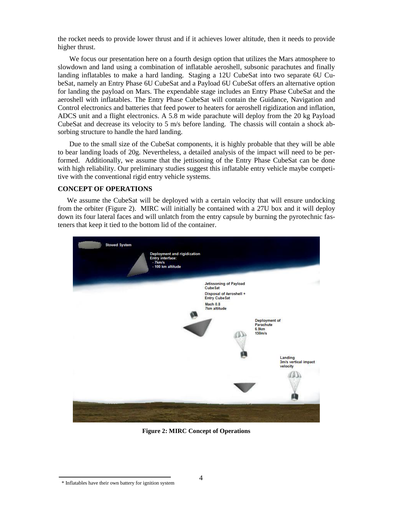the rocket needs to provide lower thrust and if it achieves lower altitude, then it needs to provide higher thrust.

We focus our presentation here on a fourth design option that utilizes the Mars atmosphere to slowdown and land using a combination of inflatable aeroshell, subsonic parachutes and finally landing inflatables to make a hard landing. Staging a 12U CubeSat into two separate 6U CubeSat, namely an Entry Phase 6U CubeSat and a Payload 6U CubeSat offers an alternative option for landing the payload on Mars. The expendable stage includes an Entry Phase CubeSat and the aeroshell with inflatables. The Entry Phase CubeSat will contain the Guidance, Navigation and Control electronics and batteries that feed power to heaters for aeroshell rigidization and inflation, ADCS unit and a flight electronics. A 5.8 m wide parachute will deploy from the 20 kg Payload CubeSat and decrease its velocity to 5 m/s before landing. The chassis will contain a shock absorbing structure to handle the hard landing.

Due to the small size of the CubeSat components, it is highly probable that they will be able to bear landing loads of 20g. Nevertheless, a detailed analysis of the impact will need to be performed. Additionally, we assume that the jettisoning of the Entry Phase CubeSat can be done with high reliability. Our preliminary studies suggest this inflatable entry vehicle maybe competitive with the conventional rigid entry vehicle systems.

#### **CONCEPT OF OPERATIONS**

We assume the CubeSat will be deployed with a certain velocity that will ensure undocking from the orbiter (Figure 2). MIRC will initially be contained with a 27U box and it will deploy down its four lateral faces and will unlatch from the entry capsule by burning the pyrotechnic fasteners that keep it tied to the bottom lid of the container.



**Figure 2: MIRC Concept of Operations**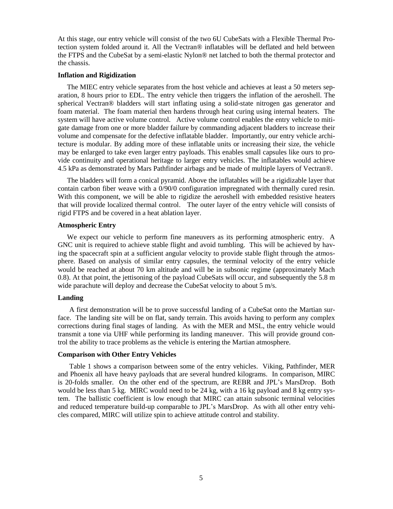At this stage, our entry vehicle will consist of the two 6U CubeSats with a Flexible Thermal Protection system folded around it. All the Vectran® inflatables will be deflated and held between the FTPS and the CubeSat by a semi-elastic Nylon® net latched to both the thermal protector and the chassis.

# **Inflation and Rigidization**

The MIEC entry vehicle separates from the host vehicle and achieves at least a 50 meters separation, 8 hours prior to EDL. The entry vehicle then triggers the inflation of the aeroshell. The spherical Vectran® bladders will start inflating using a solid-state nitrogen gas generator and foam material. The foam material then hardens through heat curing using internal heaters. The system will have active volume control. Active volume control enables the entry vehicle to mitigate damage from one or more bladder failure by commanding adjacent bladders to increase their volume and compensate for the defective inflatable bladder. Importantly, our entry vehicle architecture is modular. By adding more of these inflatable units or increasing their size, the vehicle may be enlarged to take even larger entry payloads. This enables small capsules like ours to provide continuity and operational heritage to larger entry vehicles. The inflatables would achieve 4.5 kPa as demonstrated by Mars Pathfinder airbags and be made of multiple layers of Vectran®.

The bladders will form a conical pyramid. Above the inflatables will be a rigidizable layer that contain carbon fiber weave with a 0/90/0 configuration impregnated with thermally cured resin. With this component, we will be able to rigidize the aeroshell with embedded resistive heaters that will provide localized thermal control. The outer layer of the entry vehicle will consists of rigid FTPS and be covered in a heat ablation layer.

#### **Atmospheric Entry**

We expect our vehicle to perform fine maneuvers as its performing atmospheric entry. A GNC unit is required to achieve stable flight and avoid tumbling. This will be achieved by having the spacecraft spin at a sufficient angular velocity to provide stable flight through the atmosphere. Based on analysis of similar entry capsules, the terminal velocity of the entry vehicle would be reached at about 70 km altitude and will be in subsonic regime (approximately Mach 0.8). At that point, the jettisoning of the payload CubeSats will occur, and subsequently the 5.8 m wide parachute will deploy and decrease the CubeSat velocity to about 5 m/s.

#### **Landing**

A first demonstration will be to prove successful landing of a CubeSat onto the Martian surface. The landing site will be on flat, sandy terrain. This avoids having to perform any complex corrections during final stages of landing. As with the MER and MSL, the entry vehicle would transmit a tone via UHF while performing its landing maneuver. This will provide ground control the ability to trace problems as the vehicle is entering the Martian atmosphere.

#### **Comparison with Other Entry Vehicles**

Table 1 shows a comparison between some of the entry vehicles. Viking, Pathfinder, MER and Phoenix all have heavy payloads that are several hundred kilograms. In comparison, MIRC is 20-folds smaller. On the other end of the spectrum, are REBR and JPL's MarsDrop. Both would be less than 5 kg. MIRC would need to be 24 kg, with a 16 kg payload and 8 kg entry system. The ballistic coefficient is low enough that MIRC can attain subsonic terminal velocities and reduced temperature build-up comparable to JPL's MarsDrop. As with all other entry vehicles compared, MIRC will utilize spin to achieve attitude control and stability.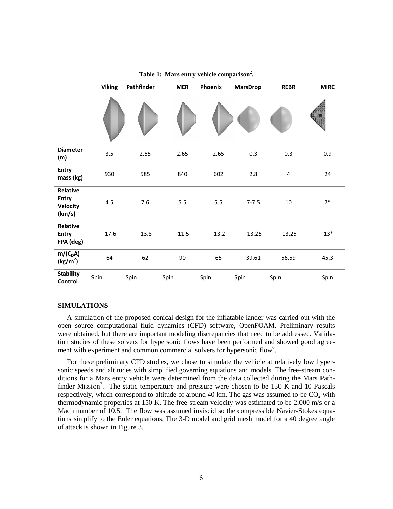|                                                       | <b>Viking</b> | Pathfinder | <b>MER</b> | Phoenix | <b>MarsDrop</b> | <b>REBR</b> | <b>MIRC</b> |
|-------------------------------------------------------|---------------|------------|------------|---------|-----------------|-------------|-------------|
|                                                       |               |            |            |         |                 |             |             |
| <b>Diameter</b><br>(m)                                | 3.5           | 2.65       | 2.65       | 2.65    | 0.3             | 0.3         | 0.9         |
| <b>Entry</b><br>mass (kg)                             | 930           | 585        | 840        | 602     | 2.8             | 4           | 24          |
| Relative<br><b>Entry</b><br><b>Velocity</b><br>(km/s) | 4.5           | 7.6        | $5.5\,$    | 5.5     | $7 - 7.5$       | 10          | $7*$        |
| Relative<br>Entry<br>FPA (deg)                        | $-17.6$       | $-13.8$    | $-11.5$    | $-13.2$ | $-13.25$        | $-13.25$    | $-13*$      |
| $m/(C_D A)$<br>(kg/m <sup>2</sup> )                   | 64            | 62         | 90         | 65      | 39.61           | 56.59       | 45.3        |
| <b>Stability</b><br>Control                           | Spin          | Spin       | Spin       | Spin    | Spin            | Spin        | Spin        |

**Table 1: Mars entry vehicle comparison<sup>2</sup> .**

## **SIMULATIONS**

A simulation of the proposed conical design for the inflatable lander was carried out with the open source computational fluid dynamics (CFD) software, OpenFOAM. Preliminary results were obtained, but there are important modeling discrepancies that need to be addressed. Validation studies of these solvers for hypersonic flows have been performed and showed good agreement with experiment and common commercial solvers for hypersonic flow<sup>6</sup>.

For these preliminary CFD studies, we chose to simulate the vehicle at relatively low hypersonic speeds and altitudes with simplified governing equations and models. The free-stream conditions for a Mars entry vehicle were determined from the data collected during the Mars Pathfinder Mission<sup>3</sup>. The static temperature and pressure were chosen to be 150 K and 10 Pascals respectively, which correspond to altitude of around 40 km. The gas was assumed to be  $CO<sub>2</sub>$  with thermodynamic properties at 150 K. The free-stream velocity was estimated to be 2,000 m/s or a Mach number of 10.5. The flow was assumed inviscid so the compressible Navier-Stokes equations simplify to the Euler equations. The 3-D model and grid mesh model for a 40 degree angle of attack is shown in Figure 3.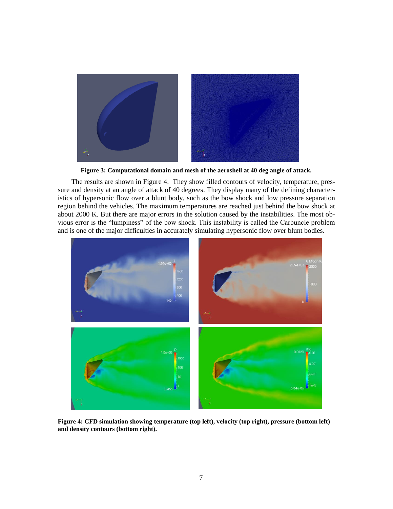

**Figure 3: Computational domain and mesh of the aeroshell at 40 deg angle of attack.**

The results are shown in Figure 4. They show filled contours of velocity, temperature, pressure and density at an angle of attack of 40 degrees. They display many of the defining characteristics of hypersonic flow over a blunt body, such as the bow shock and low pressure separation region behind the vehicles. The maximum temperatures are reached just behind the bow shock at about 2000 K. But there are major errors in the solution caused by the instabilities. The most obvious error is the "lumpiness" of the bow shock. This instability is called the Carbuncle problem and is one of the major difficulties in accurately simulating hypersonic flow over blunt bodies.



**Figure 4: CFD simulation showing temperature (top left), velocity (top right), pressure (bottom left) and density contours (bottom right).**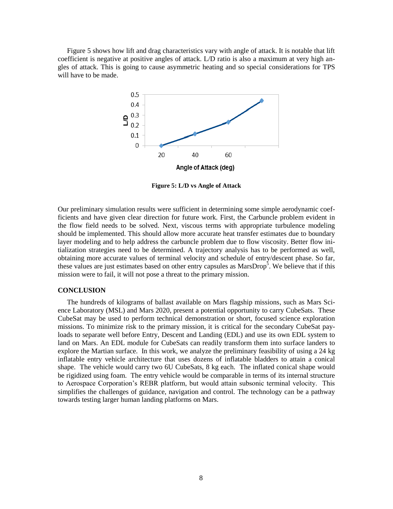Figure 5 shows how lift and drag characteristics vary with angle of attack. It is notable that lift coefficient is negative at positive angles of attack. L/D ratio is also a maximum at very high angles of attack. This is going to cause asymmetric heating and so special considerations for TPS will have to be made.



**Figure 5: L/D vs Angle of Attack**

Our preliminary simulation results were sufficient in determining some simple aerodynamic coefficients and have given clear direction for future work. First, the Carbuncle problem evident in the flow field needs to be solved. Next, viscous terms with appropriate turbulence modeling should be implemented. This should allow more accurate heat transfer estimates due to boundary layer modeling and to help address the carbuncle problem due to flow viscosity. Better flow initialization strategies need to be determined. A trajectory analysis has to be performed as well, obtaining more accurate values of terminal velocity and schedule of entry/descent phase. So far, these values are just estimates based on other entry capsules as MarsDrop<sup>5</sup>. We believe that if this mission were to fail, it will not pose a threat to the primary mission.

#### **CONCLUSION**

The hundreds of kilograms of ballast available on Mars flagship missions, such as Mars Science Laboratory (MSL) and Mars 2020, present a potential opportunity to carry CubeSats. These CubeSat may be used to perform technical demonstration or short, focused science exploration missions. To minimize risk to the primary mission, it is critical for the secondary CubeSat payloads to separate well before Entry, Descent and Landing (EDL) and use its own EDL system to land on Mars. An EDL module for CubeSats can readily transform them into surface landers to explore the Martian surface. In this work, we analyze the preliminary feasibility of using a 24 kg inflatable entry vehicle architecture that uses dozens of inflatable bladders to attain a conical shape. The vehicle would carry two 6U CubeSats, 8 kg each. The inflated conical shape would be rigidized using foam. The entry vehicle would be comparable in terms of its internal structure to Aerospace Corporation's REBR platform, but would attain subsonic terminal velocity. This simplifies the challenges of guidance, navigation and control. The technology can be a pathway towards testing larger human landing platforms on Mars.